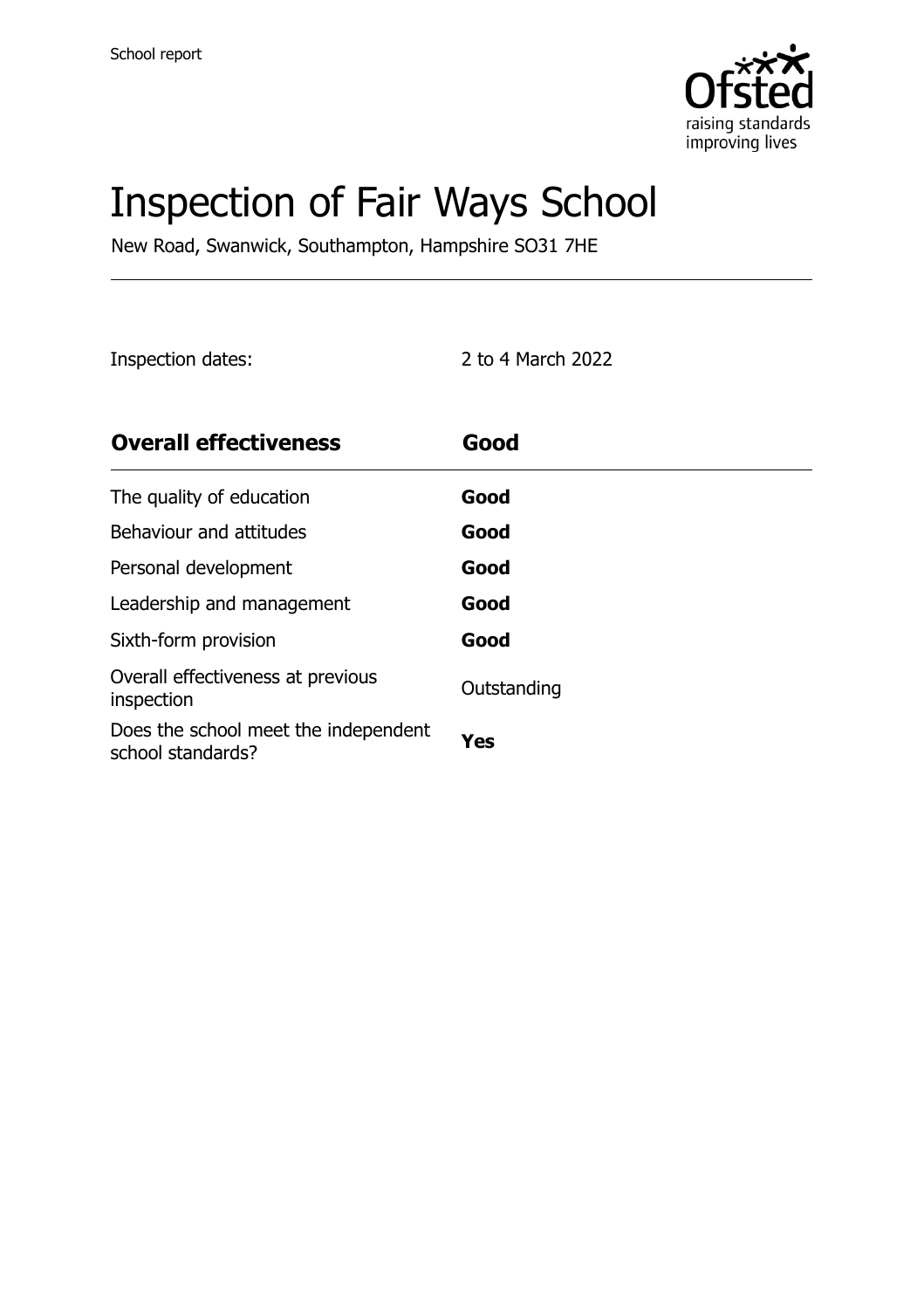

# Inspection of Fair Ways School

New Road, Swanwick, Southampton, Hampshire SO31 7HE

Inspection dates: 2 to 4 March 2022

| <b>Overall effectiveness</b>                              | Good        |
|-----------------------------------------------------------|-------------|
| The quality of education                                  | Good        |
| Behaviour and attitudes                                   | Good        |
| Personal development                                      | Good        |
| Leadership and management                                 | Good        |
| Sixth-form provision                                      | Good        |
| Overall effectiveness at previous<br>inspection           | Outstanding |
| Does the school meet the independent<br>school standards? | Yes         |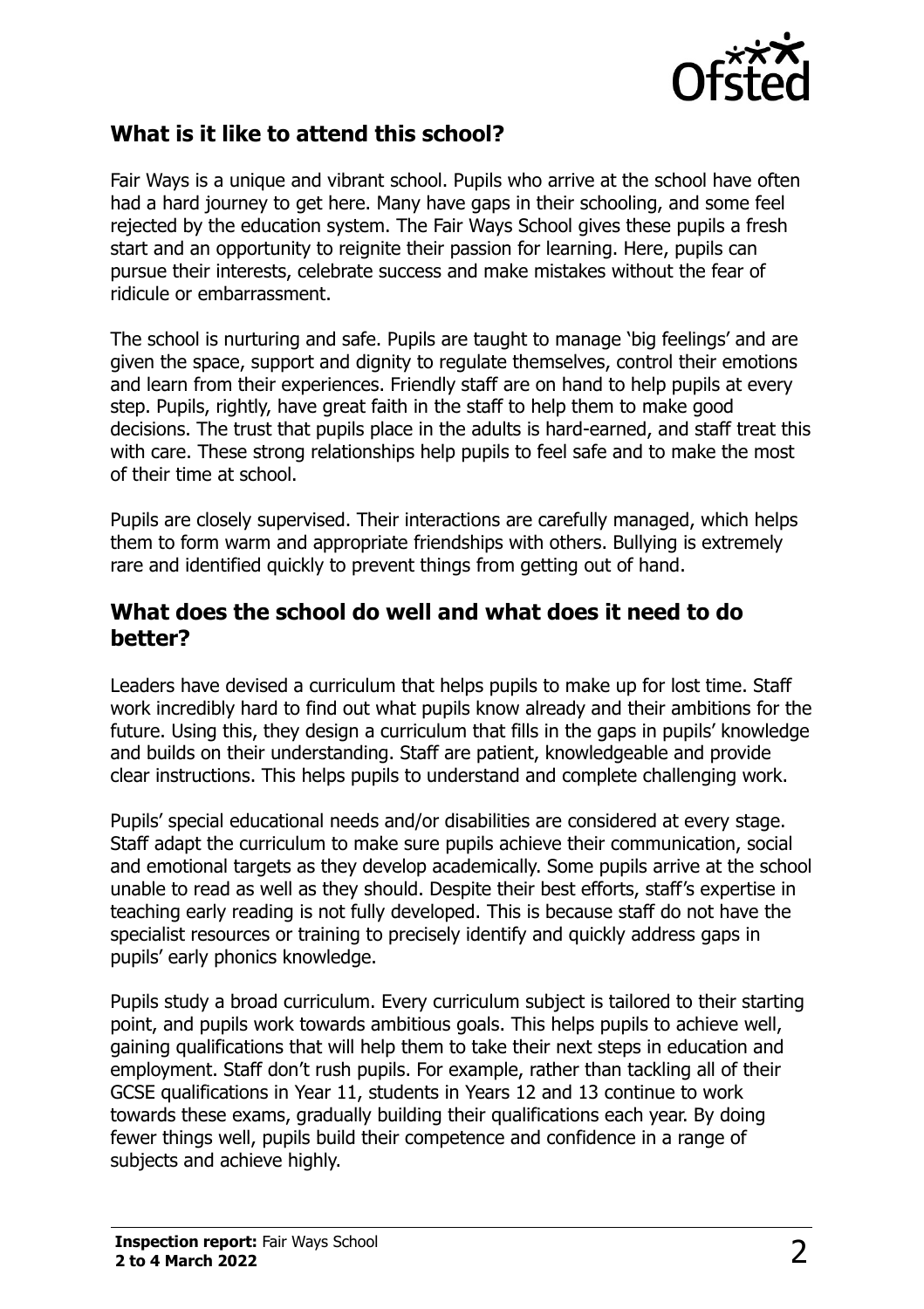

#### **What is it like to attend this school?**

Fair Ways is a unique and vibrant school. Pupils who arrive at the school have often had a hard journey to get here. Many have gaps in their schooling, and some feel rejected by the education system. The Fair Ways School gives these pupils a fresh start and an opportunity to reignite their passion for learning. Here, pupils can pursue their interests, celebrate success and make mistakes without the fear of ridicule or embarrassment.

The school is nurturing and safe. Pupils are taught to manage 'big feelings' and are given the space, support and dignity to regulate themselves, control their emotions and learn from their experiences. Friendly staff are on hand to help pupils at every step. Pupils, rightly, have great faith in the staff to help them to make good decisions. The trust that pupils place in the adults is hard-earned, and staff treat this with care. These strong relationships help pupils to feel safe and to make the most of their time at school.

Pupils are closely supervised. Their interactions are carefully managed, which helps them to form warm and appropriate friendships with others. Bullying is extremely rare and identified quickly to prevent things from getting out of hand.

#### **What does the school do well and what does it need to do better?**

Leaders have devised a curriculum that helps pupils to make up for lost time. Staff work incredibly hard to find out what pupils know already and their ambitions for the future. Using this, they design a curriculum that fills in the gaps in pupils' knowledge and builds on their understanding. Staff are patient, knowledgeable and provide clear instructions. This helps pupils to understand and complete challenging work.

Pupils' special educational needs and/or disabilities are considered at every stage. Staff adapt the curriculum to make sure pupils achieve their communication, social and emotional targets as they develop academically. Some pupils arrive at the school unable to read as well as they should. Despite their best efforts, staff's expertise in teaching early reading is not fully developed. This is because staff do not have the specialist resources or training to precisely identify and quickly address gaps in pupils' early phonics knowledge.

Pupils study a broad curriculum. Every curriculum subject is tailored to their starting point, and pupils work towards ambitious goals. This helps pupils to achieve well, gaining qualifications that will help them to take their next steps in education and employment. Staff don't rush pupils. For example, rather than tackling all of their GCSE qualifications in Year 11, students in Years 12 and 13 continue to work towards these exams, gradually building their qualifications each year. By doing fewer things well, pupils build their competence and confidence in a range of subjects and achieve highly.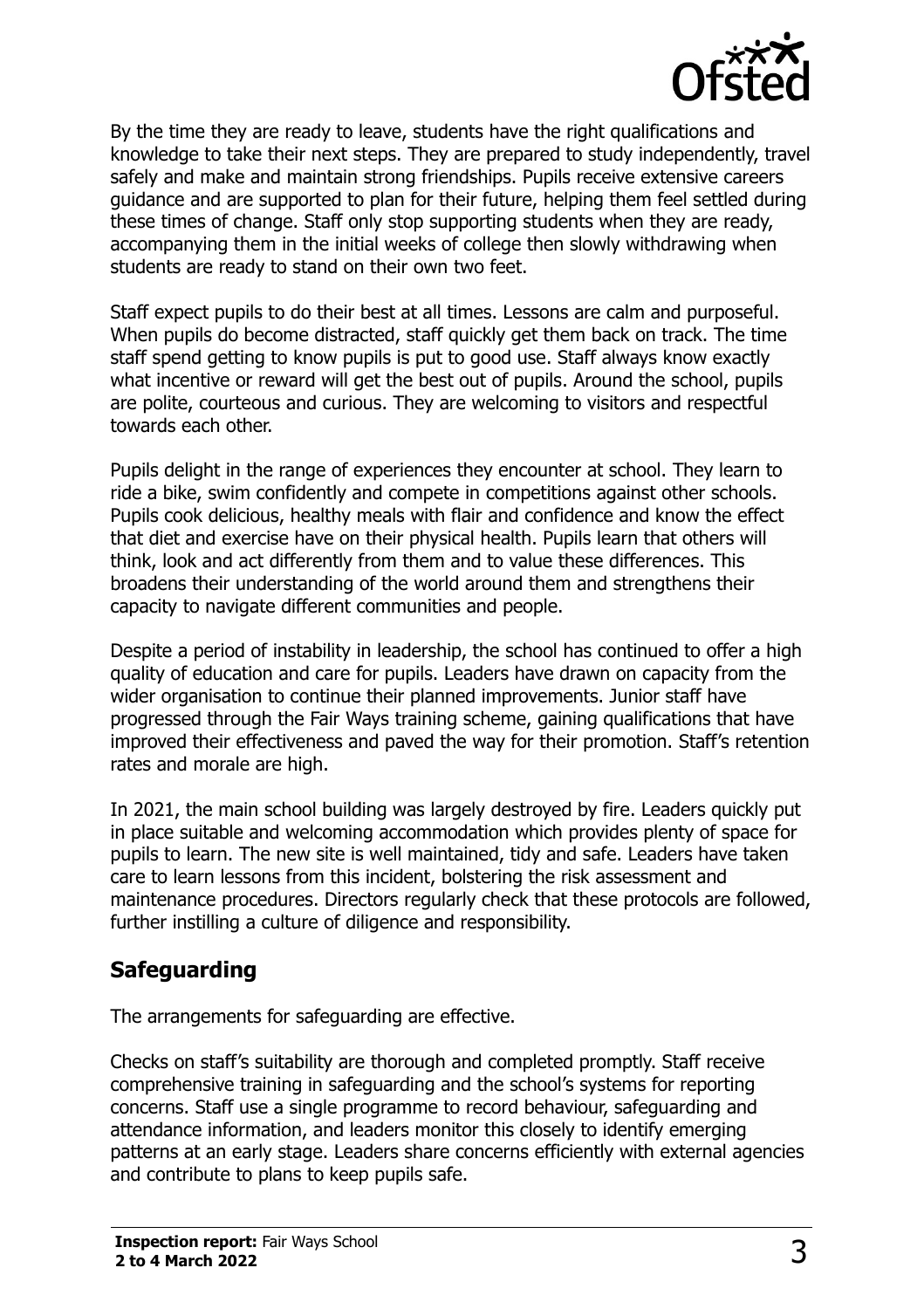

By the time they are ready to leave, students have the right qualifications and knowledge to take their next steps. They are prepared to study independently, travel safely and make and maintain strong friendships. Pupils receive extensive careers guidance and are supported to plan for their future, helping them feel settled during these times of change. Staff only stop supporting students when they are ready, accompanying them in the initial weeks of college then slowly withdrawing when students are ready to stand on their own two feet.

Staff expect pupils to do their best at all times. Lessons are calm and purposeful. When pupils do become distracted, staff quickly get them back on track. The time staff spend getting to know pupils is put to good use. Staff always know exactly what incentive or reward will get the best out of pupils. Around the school, pupils are polite, courteous and curious. They are welcoming to visitors and respectful towards each other.

Pupils delight in the range of experiences they encounter at school. They learn to ride a bike, swim confidently and compete in competitions against other schools. Pupils cook delicious, healthy meals with flair and confidence and know the effect that diet and exercise have on their physical health. Pupils learn that others will think, look and act differently from them and to value these differences. This broadens their understanding of the world around them and strengthens their capacity to navigate different communities and people.

Despite a period of instability in leadership, the school has continued to offer a high quality of education and care for pupils. Leaders have drawn on capacity from the wider organisation to continue their planned improvements. Junior staff have progressed through the Fair Ways training scheme, gaining qualifications that have improved their effectiveness and paved the way for their promotion. Staff's retention rates and morale are high.

In 2021, the main school building was largely destroyed by fire. Leaders quickly put in place suitable and welcoming accommodation which provides plenty of space for pupils to learn. The new site is well maintained, tidy and safe. Leaders have taken care to learn lessons from this incident, bolstering the risk assessment and maintenance procedures. Directors regularly check that these protocols are followed, further instilling a culture of diligence and responsibility.

### **Safeguarding**

The arrangements for safeguarding are effective.

Checks on staff's suitability are thorough and completed promptly. Staff receive comprehensive training in safeguarding and the school's systems for reporting concerns. Staff use a single programme to record behaviour, safeguarding and attendance information, and leaders monitor this closely to identify emerging patterns at an early stage. Leaders share concerns efficiently with external agencies and contribute to plans to keep pupils safe.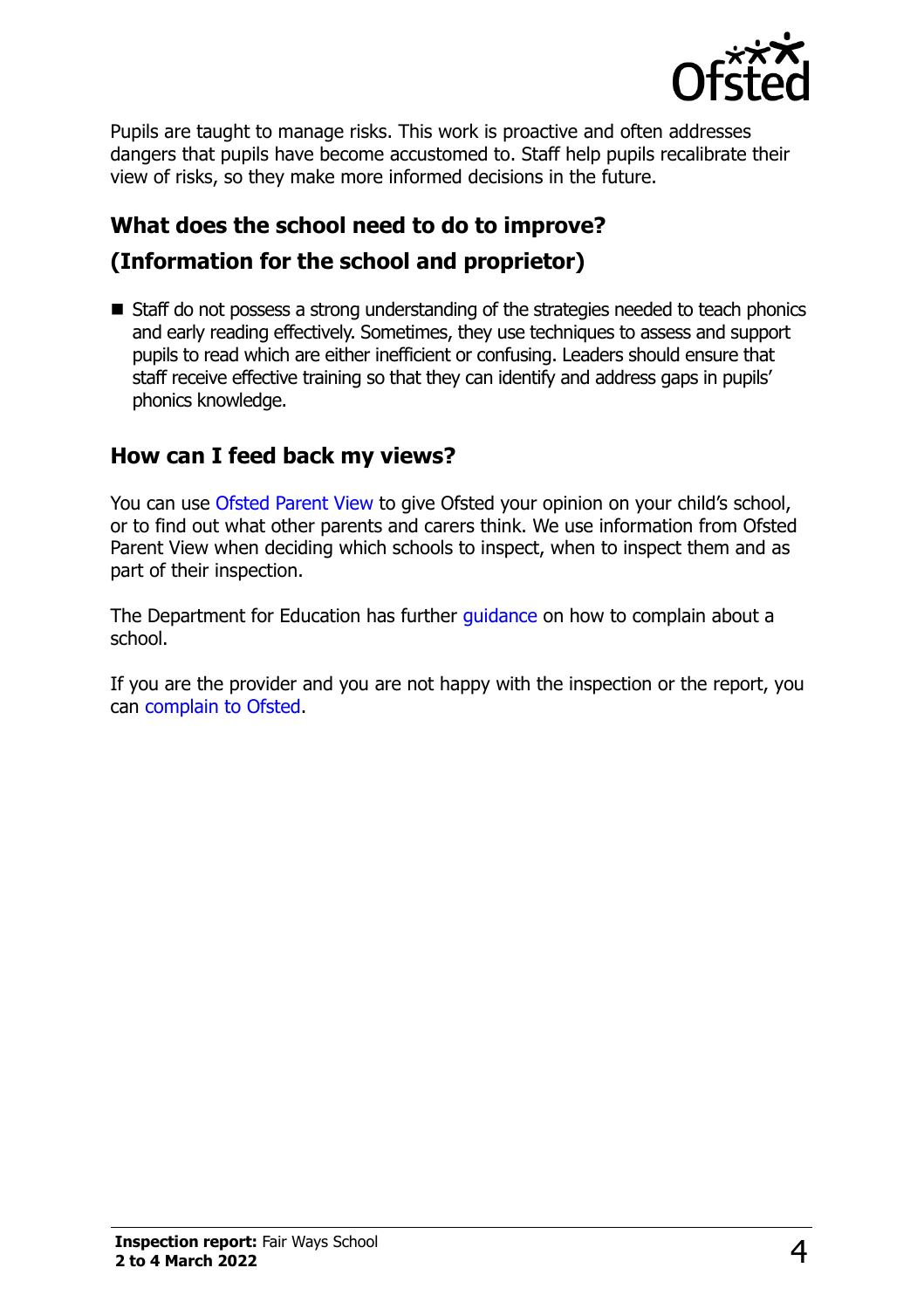

Pupils are taught to manage risks. This work is proactive and often addresses dangers that pupils have become accustomed to. Staff help pupils recalibrate their view of risks, so they make more informed decisions in the future.

# **What does the school need to do to improve? (Information for the school and proprietor)**

■ Staff do not possess a strong understanding of the strategies needed to teach phonics and early reading effectively. Sometimes, they use techniques to assess and support pupils to read which are either inefficient or confusing. Leaders should ensure that staff receive effective training so that they can identify and address gaps in pupils' phonics knowledge.

#### **How can I feed back my views?**

You can use [Ofsted Parent View](http://parentview.ofsted.gov.uk/) to give Ofsted your opinion on your child's school, or to find out what other parents and carers think. We use information from Ofsted Parent View when deciding which schools to inspect, when to inspect them and as part of their inspection.

The Department for Education has further quidance on how to complain about a school.

If you are the provider and you are not happy with the inspection or the report, you can [complain to Ofsted.](http://www.gov.uk/complain-ofsted-report)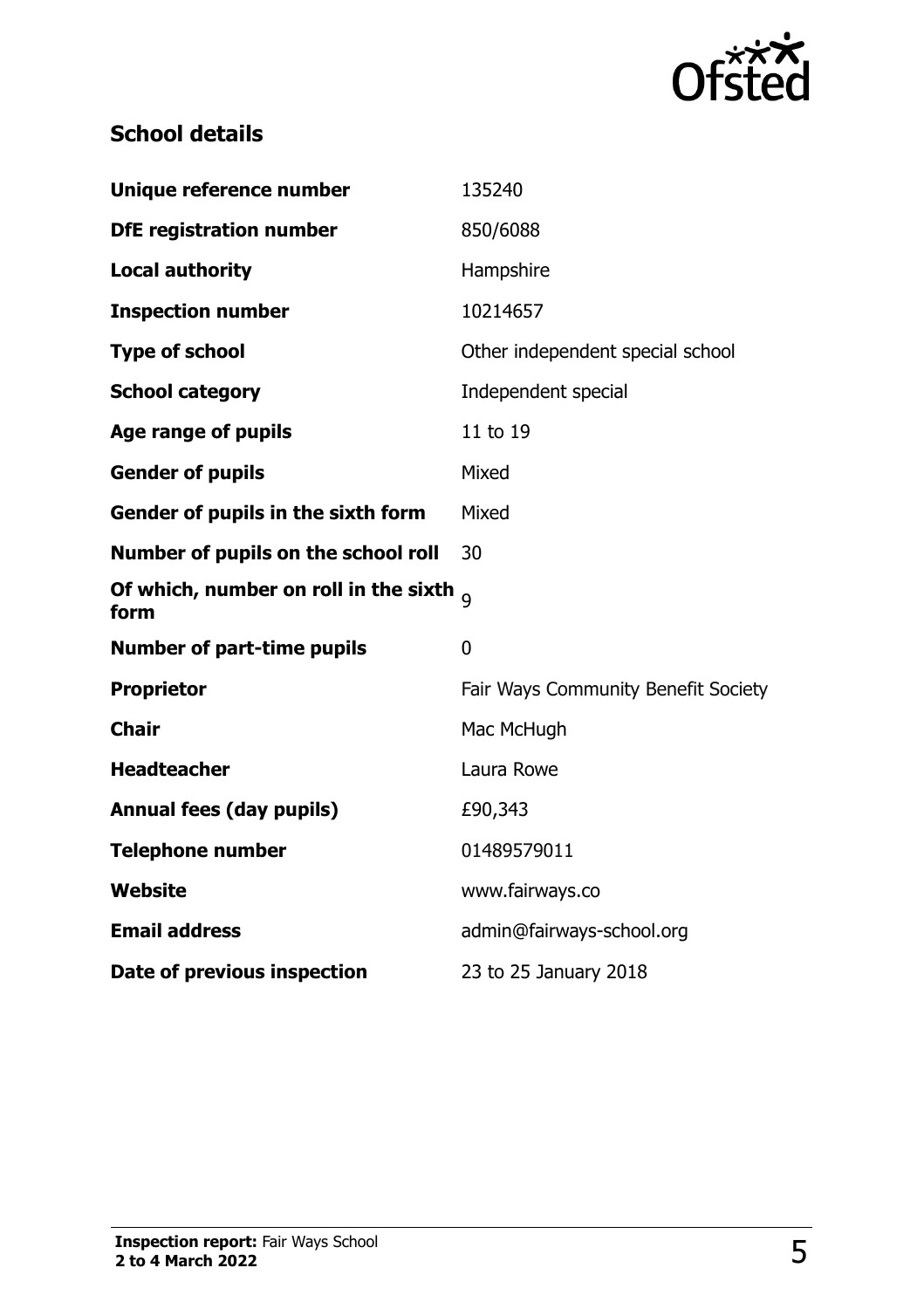

## **School details**

| Unique reference number                              | 135240                              |
|------------------------------------------------------|-------------------------------------|
| <b>DfE registration number</b>                       | 850/6088                            |
| <b>Local authority</b>                               | Hampshire                           |
| <b>Inspection number</b>                             | 10214657                            |
| <b>Type of school</b>                                | Other independent special school    |
| <b>School category</b>                               | Independent special                 |
| Age range of pupils                                  | 11 to 19                            |
| <b>Gender of pupils</b>                              | Mixed                               |
| Gender of pupils in the sixth form                   | Mixed                               |
| Number of pupils on the school roll                  | 30                                  |
| Of which, number on roll in the sixth $_{9}$<br>form |                                     |
| <b>Number of part-time pupils</b>                    | $\overline{0}$                      |
| <b>Proprietor</b>                                    | Fair Ways Community Benefit Society |
| <b>Chair</b>                                         | Mac McHugh                          |
| <b>Headteacher</b>                                   | Laura Rowe                          |
| <b>Annual fees (day pupils)</b>                      | £90,343                             |
| <b>Telephone number</b>                              | 01489579011                         |
| Website                                              | www.fairways.co                     |
| <b>Email address</b>                                 | admin@fairways-school.org           |
| Date of previous inspection                          | 23 to 25 January 2018               |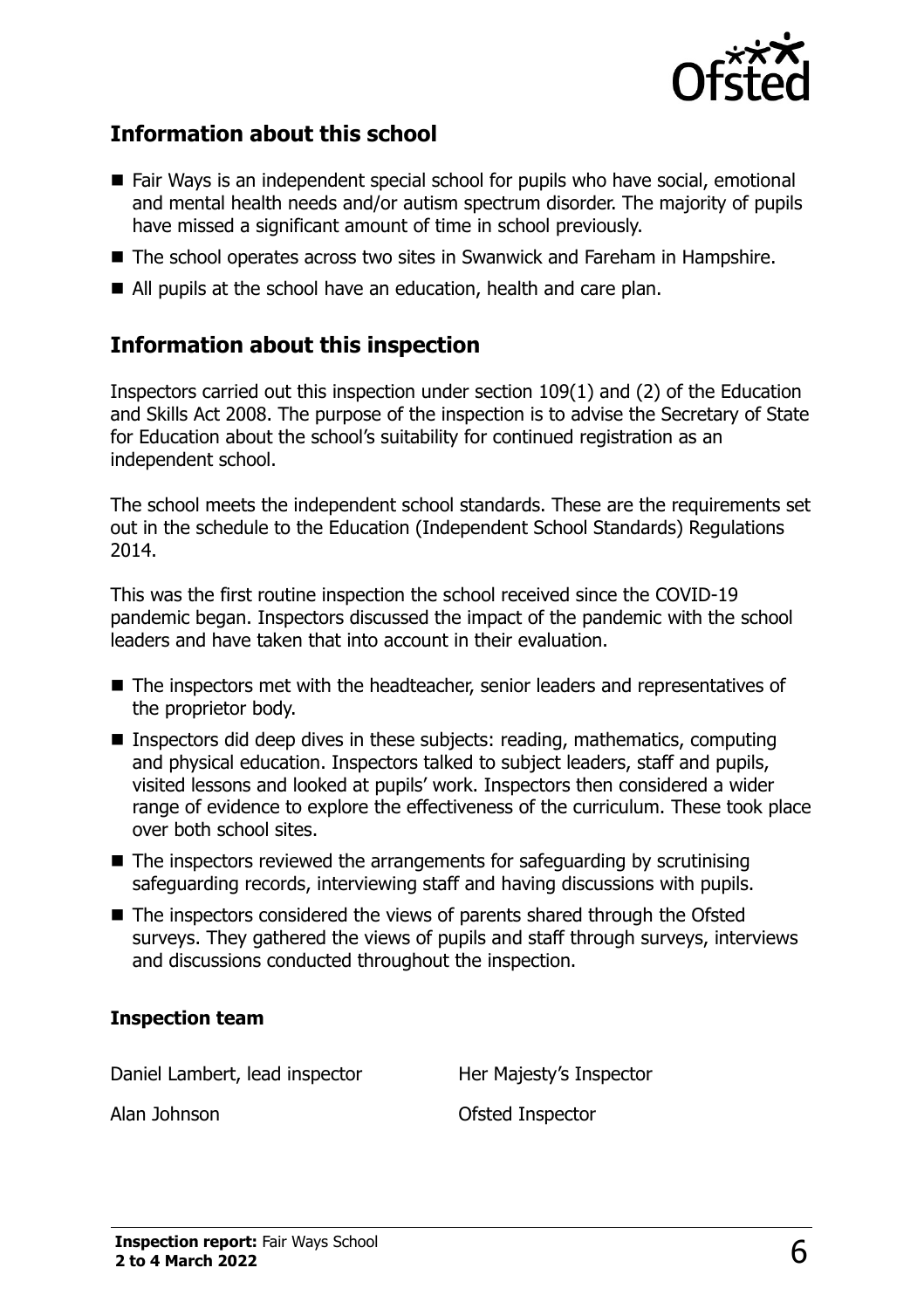

#### **Information about this school**

- Fair Ways is an independent special school for pupils who have social, emotional and mental health needs and/or autism spectrum disorder. The majority of pupils have missed a significant amount of time in school previously.
- The school operates across two sites in Swanwick and Fareham in Hampshire.
- All pupils at the school have an education, health and care plan.

#### **Information about this inspection**

Inspectors carried out this inspection under section 109(1) and (2) of the Education and Skills Act 2008. The purpose of the inspection is to advise the Secretary of State for Education about the school's suitability for continued registration as an independent school.

The school meets the independent school standards. These are the requirements set out in the schedule to the Education (Independent School Standards) Regulations 2014.

This was the first routine inspection the school received since the COVID-19 pandemic began. Inspectors discussed the impact of the pandemic with the school leaders and have taken that into account in their evaluation.

- The inspectors met with the headteacher, senior leaders and representatives of the proprietor body.
- **Inspectors did deep dives in these subjects: reading, mathematics, computing** and physical education. Inspectors talked to subject leaders, staff and pupils, visited lessons and looked at pupils' work. Inspectors then considered a wider range of evidence to explore the effectiveness of the curriculum. These took place over both school sites.
- $\blacksquare$  The inspectors reviewed the arrangements for safeguarding by scrutinising safeguarding records, interviewing staff and having discussions with pupils.
- The inspectors considered the views of parents shared through the Ofsted surveys. They gathered the views of pupils and staff through surveys, interviews and discussions conducted throughout the inspection.

#### **Inspection team**

Daniel Lambert, lead inspector Her Majesty's Inspector

Alan Johnson **Calculation** Ofsted Inspector